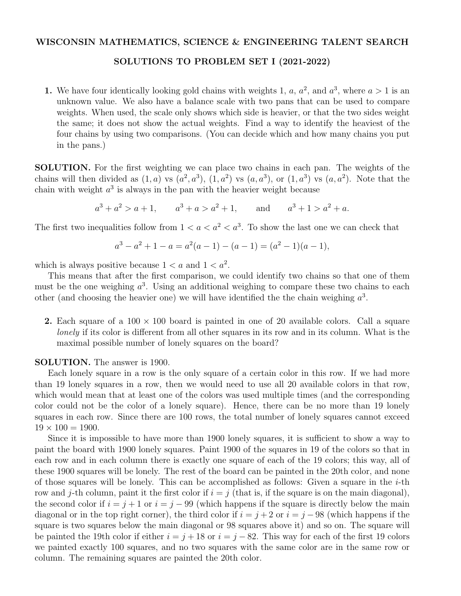## WISCONSIN MATHEMATICS, SCIENCE & ENGINEERING TALENT SEARCH

## SOLUTIONS TO PROBLEM SET I (2021-2022)

1. We have four identically looking gold chains with weights 1, *a*,  $a^2$ , and  $a^3$ , where  $a > 1$  is an unknown value. We also have a balance scale with two pans that can be used to compare weights. When used, the scale only shows which side is heavier, or that the two sides weight the same; it does not show the actual weights. Find a way to identify the heaviest of the four chains by using two comparisons. (You can decide which and how many chains you put in the pans.)

SOLUTION. For the first weighting we can place two chains in each pan. The weights of the chains will then divided as  $(1, a)$  vs  $(a^2, a^3)$ ,  $(1, a^2)$  vs  $(a, a^3)$ , or  $(1, a^3)$  vs  $(a, a^2)$ . Note that the chain with weight  $a^3$  is always in the pan with the heavier weight because

 $a^3 + a^2 > a + 1$ ,  $a^3 + a > a^2 + 1$ , and  $a^3 + 1 > a^2 + a$ .

The first two inequalities follow from  $1 < a < a^2 < a^3$ . To show the last one we can check that

$$
a3 - a2 + 1 - a = a2(a - 1) - (a - 1) = (a2 - 1)(a - 1),
$$

which is always positive because  $1 < a$  and  $1 < a^2$ .

This means that after the first comparison, we could identify two chains so that one of them must be the one weighing  $a^3$ . Using an additional weighing to compare these two chains to each other (and choosing the heavier one) we will have identified the the chain weighing *a*<sup>3</sup>.

**2.** Each square of a  $100 \times 100$  board is painted in one of 20 available colors. Call a square *lonely* if its color is different from all other squares in its row and in its column. What is the maximal possible number of lonely squares on the board?

SOLUTION. The answer is 1900.

Each lonely square in a row is the only square of a certain color in this row. If we had more than 19 lonely squares in a row, then we would need to use all 20 available colors in that row, which would mean that at least one of the colors was used multiple times (and the corresponding color could not be the color of a lonely square). Hence, there can be no more than 19 lonely squares in each row. Since there are 100 rows, the total number of lonely squares cannot exceed  $19 \times 100 = 1900$ .

Since it is impossible to have more than 1900 lonely squares, it is sufficient to show a way to paint the board with 1900 lonely squares. Paint 1900 of the squares in 19 of the colors so that in each row and in each column there is exactly one square of each of the 19 colors; this way, all of these 1900 squares will be lonely. The rest of the board can be painted in the 20th color, and none of those squares will be lonely. This can be accomplished as follows: Given a square in the *i*-th row and *j*-th column, paint it the first color if  $i = j$  (that is, if the square is on the main diagonal), the second color if  $i = j + 1$  or  $i = j - 99$  (which happens if the square is directly below the main diagonal or in the top right corner), the third color if  $i = j + 2$  or  $i = j - 98$  (which happens if the square is two squares below the main diagonal or 98 squares above it) and so on. The square will be painted the 19th color if either  $i = j + 18$  or  $i = j - 82$ . This way for each of the first 19 colors we painted exactly 100 squares, and no two squares with the same color are in the same row or column. The remaining squares are painted the 20th color.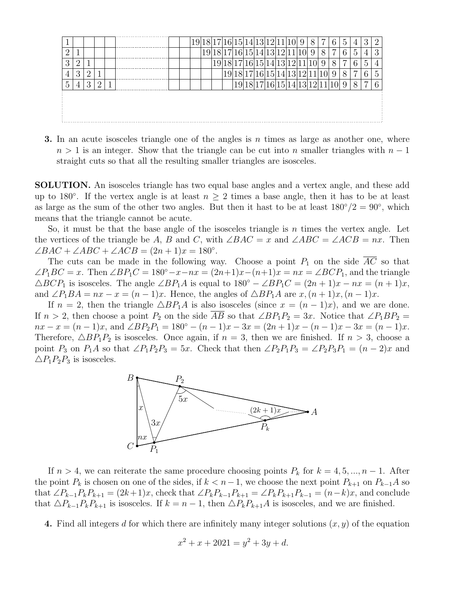|    |   |   |   |  |  |  |  |          | 19 18 17 16 15 14 13 12 11 10  9 |  |  | 8         |                      | <sub>6</sub> | $\ddot{\Omega}$ | 4          |    |    |
|----|---|---|---|--|--|--|--|----------|----------------------------------|--|--|-----------|----------------------|--------------|-----------------|------------|----|----|
|    |   |   |   |  |  |  |  |          | 18 17 16 15 14 13 12 11 10       |  |  | 9         | 8                    |              | 6               | $\ddot{c}$ | 4  | 3  |
| 3  |   |   |   |  |  |  |  |          | 19 18 17 16 15 14 13 12 11       |  |  | <b>10</b> | 9                    |              |                 |            | h. | 4  |
| 4  | 3 |   |   |  |  |  |  | 19 18 17 |                                  |  |  |           | 16 15 14 13 12 11 10 |              |                 |            |    | 5  |
| 5. | 4 | 3 | 2 |  |  |  |  |          | 19 18 17 16 15 14 13 12 11       |  |  |           |                      |              |                 |            |    | 6. |
|    |   |   |   |  |  |  |  |          |                                  |  |  |           |                      |              |                 |            |    |    |
|    |   |   |   |  |  |  |  |          |                                  |  |  |           |                      |              |                 |            |    |    |
|    |   |   |   |  |  |  |  |          |                                  |  |  |           |                      |              |                 |            |    |    |

3. In an acute isosceles triangle one of the angles is *n* times as large as another one, where  $n > 1$  is an integer. Show that the triangle can be cut into *n* smaller triangles with  $n - 1$ straight cuts so that all the resulting smaller triangles are isosceles.

SOLUTION. An isosceles triangle has two equal base angles and a vertex angle, and these add up to 180<sup>o</sup>. If the vertex angle is at least  $n \geq 2$  times a base angle, then it has to be at least as large as the sum of the other two angles. But then it hast to be at least  $180^{\circ}/2 = 90^{\circ}$ , which means that the triangle cannot be acute.

So, it must be that the base angle of the isosceles triangle is *n* times the vertex angle. Let the vertices of the triangle be *A*, *B* and *C*, with  $\angle BAC = x$  and  $\angle ABC = \angle ACB = nx$ . Then  $\angle BAC + \angle ABC + \angle ACB = (2n + 1)x = 180^\circ.$ 

The cuts can be made in the following way. Choose a point  $P_1$  on the side  $AC$  so that  $\angle P_1BC = x$ . Then  $\angle BP_1C = 180^\circ - x - nx = (2n+1)x - (n+1)x = nx = \angle BCP_1$ , and the triangle  $\triangle BCP_1$  is isosceles. The angle  $\angle BP_1A$  is equal to  $180^\circ - \angle BP_1C = (2n+1)x - nx = (n+1)x$ , and  $\angle P_1BA = nx - x = (n-1)x$ . Hence, the angles of  $\triangle BP_1A$  are  $x, (n+1)x, (n-1)x$ .

If  $n = 2$ , then the triangle  $\triangle BP_1A$  is also isosceles (since  $x = (n-1)x$ ), and we are done. If  $n > 2$ , then choose a point  $P_2$  on the side  $\overline{AB}$  so that  $\angle BP_1P_2 = 3x$ . Notice that  $\angle P_1BP_2 =$  $nx - x = (n - 1)x$ , and  $\angle BP_2P_1 = 180^\circ - (n - 1)x - 3x = (2n + 1)x - (n - 1)x - 3x = (n - 1)x$ . Therefore,  $\triangle BP_1P_2$  is isosceles. Once again, if  $n=3$ , then we are finished. If  $n>3$ , choose a point  $P_3$  on  $P_1A$  so that  $\angle P_1P_2P_3 = 5x$ . Check that then  $\angle P_2P_1P_3 = \angle P_2P_3P_1 = (n-2)x$  and  $\triangle P_1 P_2 P_3$  is isosceles.



If  $n > 4$ , we can reiterate the same procedure choosing points  $P_k$  for  $k = 4, 5, ..., n - 1$ . After the point  $P_k$  is chosen on one of the sides, if  $k < n-1$ , we choose the next point  $P_{k+1}$  on  $P_{k-1}A$  so that  $\angle P_{k-1}P_kP_{k+1} = (2k+1)x$ , check that  $\angle P_kP_{k-1}P_{k+1} = \angle P_kP_{k+1}P_{k-1} = (n-k)x$ , and conclude that  $\Delta P_{k-1}P_kP_{k+1}$  is isosceles. If  $k = n-1$ , then  $\Delta P_kP_{k+1}A$  is isosceles, and we are finished.

4. Find all integers *d* for which there are infinitely many integer solutions (*x, y*) of the equation

$$
x^2 + x + 2021 = y^2 + 3y + d.
$$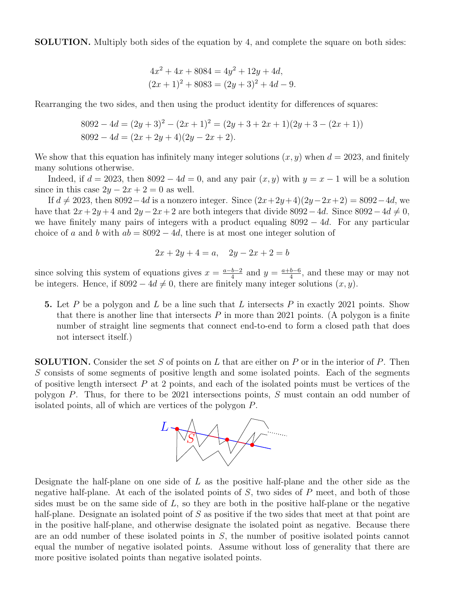SOLUTION. Multiply both sides of the equation by 4, and complete the square on both sides:

$$
4x2 + 4x + 8084 = 4y2 + 12y + 4d,
$$
  

$$
(2x + 1)2 + 8083 = (2y + 3)2 + 4d - 9.
$$

Rearranging the two sides, and then using the product identity for differences of squares:

$$
8092 - 4d = (2y + 3)^2 - (2x + 1)^2 = (2y + 3 + 2x + 1)(2y + 3 - (2x + 1))
$$
  

$$
8092 - 4d = (2x + 2y + 4)(2y - 2x + 2).
$$

We show that this equation has infinitely many integer solutions  $(x, y)$  when  $d = 2023$ , and finitely many solutions otherwise.

Indeed, if  $d = 2023$ , then  $8092 - 4d = 0$ , and any pair  $(x, y)$  with  $y = x - 1$  will be a solution since in this case  $2y - 2x + 2 = 0$  as well.

If  $d \neq 2023$ , then  $8092-4d$  is a nonzero integer. Since  $(2x+2y+4)(2y-2x+2) = 8092-4d$ , we have that  $2x + 2y + 4$  and  $2y - 2x + 2$  are both integers that divide  $8092 - 4d$ . Since  $8092 - 4d \neq 0$ , we have finitely many pairs of integers with a product equaling  $8092 - 4d$ . For any particular choice of *a* and *b* with  $ab = 8092 - 4d$ , there is at most one integer solution of

$$
2x + 2y + 4 = a, \quad 2y - 2x + 2 = b
$$

since solving this system of equations gives  $x = \frac{a-b-2}{4}$  and  $y = \frac{a+b-6}{4}$ , and these may or may not be integers. Hence, if  $8092 - 4d \neq 0$ , there are finitely many integer solutions  $(x, y)$ .

5. Let *P* be a polygon and *L* be a line such that *L* intersects *P* in exactly 2021 points. Show that there is another line that intersects  $P$  in more than 2021 points. (A polygon is a finite number of straight line segments that connect end-to-end to form a closed path that does not intersect itself.)

SOLUTION. Consider the set *S* of points on *L* that are either on *P* or in the interior of *P*. Then *S* consists of some segments of positive length and some isolated points. Each of the segments of positive length intersect *P* at 2 points, and each of the isolated points must be vertices of the polygon *P*. Thus, for there to be 2021 intersections points, *S* must contain an odd number of isolated points, all of which are vertices of the polygon *P*.



Designate the half-plane on one side of *L* as the positive half-plane and the other side as the negative half-plane. At each of the isolated points of *S*, two sides of *P* meet, and both of those sides must be on the same side of *L*, so they are both in the positive half-plane or the negative half-plane. Designate an isolated point of *S* as positive if the two sides that meet at that point are in the positive half-plane, and otherwise designate the isolated point as negative. Because there are an odd number of these isolated points in *S*, the number of positive isolated points cannot equal the number of negative isolated points. Assume without loss of generality that there are more positive isolated points than negative isolated points.